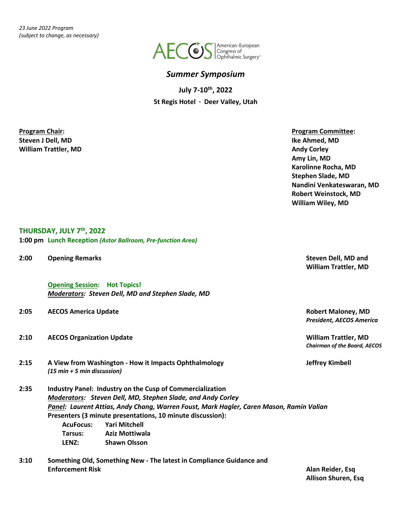

## *Summer Symposium*

**July 7-10th, 2022 St Regis Hotel · Deer Valley, Utah**

**Steven J Dell, MD Ike Ahmed, MD Milliam Trattler, MD Andy Corley Andy Corley Andy Corley Andy Corley Andy Corley** 

**Program Chair: Program Committee: Amy Lin, MD Karolinne Rocha, MD Stephen Slade, MD Nandini Venkateswaran, MD Robert Weinstock, MD William Wiley, MD**

## **THURSDAY, JULY 7th, 2022**

**1:00 pm Lunch Reception** *(Astor Ballroom, Pre-function Area)*

**2:00 Opening Remarks Steven Dell, MD and**

**Opening Session: Hot Topics!** *Moderators: Steven Dell, MD and Stephen Slade, MD*

#### **2:05 AECOS America Update Robert Maloney, MD**

- **2:10 AECOS Organization Update William Trattler, MD**
- **2:15 A View from Washington - How it Impacts Ophthalmology Jeffrey Kimbell** *(15 min + 5 min discussion)*
- **2:35 Industry Panel: Industry on the Cusp of Commercialization** *Moderators: Steven Dell, MD, Stephen Slade, and Andy Corley Panel: Laurent Attias, Andy Chang, Warren Foust, Mark Hagler, Caren Mason, Ramin Valian* **Presenters (3 minute presentations, 10 minute discussion): AcuFocus: Yari Mitchell Tarsus: Aziz Mottiwala LENZ: Shawn Olsson**
- **3:10 Something Old, Something New - The latest in Compliance Guidance and Enforcement Risk Alan Reider, Esq**

**William Trattler, MD**

*President, AECOS America*

*Chairman of the Board, AECOS*

**Allison Shuren, Esq**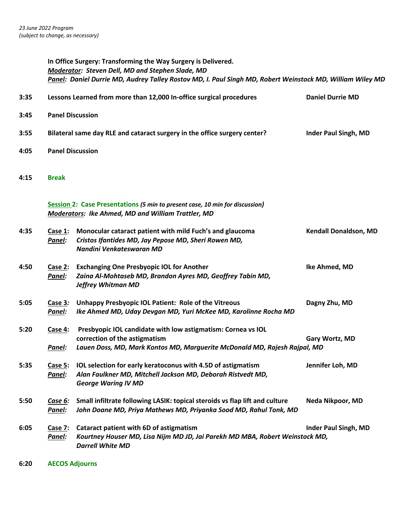|      |                         | In Office Surgery: Transforming the Way Surgery is Delivered.<br>Moderator: Steven Dell, MD and Stephen Slade, MD<br>Panel: Daniel Durrie MD, Audrey Talley Rostov MD, I. Paul Singh MD, Robert Weinstock MD, William Wiley MD |                             |  |
|------|-------------------------|--------------------------------------------------------------------------------------------------------------------------------------------------------------------------------------------------------------------------------|-----------------------------|--|
| 3:35 |                         | Lessons Learned from more than 12,000 In-office surgical procedures                                                                                                                                                            | <b>Daniel Durrie MD</b>     |  |
| 3:45 | <b>Panel Discussion</b> |                                                                                                                                                                                                                                |                             |  |
| 3:55 |                         | Bilateral same day RLE and cataract surgery in the office surgery center?                                                                                                                                                      | <b>Inder Paul Singh, MD</b> |  |
| 4:05 | <b>Panel Discussion</b> |                                                                                                                                                                                                                                |                             |  |
| 4:15 | <b>Break</b>            |                                                                                                                                                                                                                                |                             |  |
|      |                         | Session 2: Case Presentations (5 min to present case, 10 min for discussion)<br><b>Moderators: Ike Ahmed, MD and William Trattler, MD</b>                                                                                      |                             |  |
| 4:35 | Case $1$ :<br>Panel:    | Monocular cataract patient with mild Fuch's and glaucoma<br>Cristos Ifantides MD, Jay Pepose MD, Sheri Rowen MD,<br>Nandini Venkateswaran MD                                                                                   | Kendall Donaldson, MD       |  |
| 4:50 | Case 2:<br>Panel:       | <b>Exchanging One Presbyopic IOL for Another</b><br>Zaina Al-Mohtaseb MD, Brandon Ayres MD, Geoffrey Tabin MD,<br><b>Jeffrey Whitman MD</b>                                                                                    | Ike Ahmed, MD               |  |
| 5:05 | Case $3:$<br>Panel:     | Unhappy Presbyopic IOL Patient: Role of the Vitreous<br>Ike Ahmed MD, Uday Devgan MD, Yuri McKee MD, Karolinne Rocha MD                                                                                                        | Dagny Zhu, MD               |  |
| 5:20 | Case 4:<br>Panel:       | Presbyopic IOL candidate with low astigmatism: Cornea vs IOL<br>correction of the astigmatism<br>Lauen Doss, MD, Mark Kontos MD, Marguerite McDonald MD, Rajesh Rajpal, MD                                                     | Gary Wortz, MD              |  |
| 5:35 | Case 5:<br>Panel:       | IOL selection for early keratoconus with 4.5D of astigmatism<br>Alan Faulkner MD, Mitchell Jackson MD, Deborah Ristvedt MD,<br><b>George Waring IV MD</b>                                                                      | Jennifer Loh, MD            |  |
| 5:50 | Case 6:<br>Panel:       | Small infiltrate following LASIK: topical steroids vs flap lift and culture<br>John Doane MD, Priya Mathews MD, Priyanka Sood MD, Rahul Tonk, MD                                                                               | Neda Nikpoor, MD            |  |
| 6:05 | Case 7:<br>Panel:       | Cataract patient with 6D of astigmatism<br>Kourtney Houser MD, Lisa Nijm MD JD, Jai Parekh MD MBA, Robert Weinstock MD,<br><b>Darrell White MD</b>                                                                             | <b>Inder Paul Singh, MD</b> |  |

**6:20 AECOS Adjourns**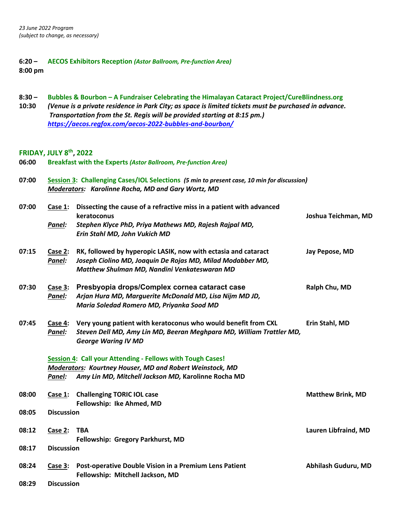## **6:20 – AECOS Exhibitors Reception** *(Astor Ballroom, Pre-function Area)* **8:00 pm**

| $8:30 -$<br>10:30 | Bubbles & Bourbon - A Fundraiser Celebrating the Himalayan Cataract Project/CureBlindness.org<br>(Venue is a private residence in Park City; as space is limited tickets must be purchased in advance.<br>Transportation from the St. Regis will be provided starting at 8:15 pm.)<br>https://aecos.regfox.com/aecos-2022-bubbles-and-bourbon/ |                                                                                                                                                                                |                          |  |
|-------------------|------------------------------------------------------------------------------------------------------------------------------------------------------------------------------------------------------------------------------------------------------------------------------------------------------------------------------------------------|--------------------------------------------------------------------------------------------------------------------------------------------------------------------------------|--------------------------|--|
| 06:00             | <b>FRIDAY, JULY 8th, 2022</b>                                                                                                                                                                                                                                                                                                                  | <b>Breakfast with the Experts (Astor Ballroom, Pre-function Area)</b>                                                                                                          |                          |  |
| 07:00             | Session 3: Challenging Cases/IOL Selections (5 min to present case, 10 min for discussion)<br><b>Moderators: Karolinne Rocha, MD and Gary Wortz, MD</b>                                                                                                                                                                                        |                                                                                                                                                                                |                          |  |
| 07:00             | Case $1$ :<br>Panel:                                                                                                                                                                                                                                                                                                                           | Dissecting the cause of a refractive miss in a patient with advanced<br>keratoconus<br>Stephen Klyce PhD, Priya Mathews MD, Rajesh Rajpal MD,<br>Erin Stahl MD, John Vukich MD | Joshua Teichman, MD      |  |
| 07:15             | Case 2:<br>Panel:                                                                                                                                                                                                                                                                                                                              | RK, followed by hyperopic LASIK, now with ectasia and cataract<br>Joseph Ciolino MD, Joaquin De Rojas MD, Milad Modabber MD,<br>Matthew Shulman MD, Nandini Venkateswaran MD   | Jay Pepose, MD           |  |
| 07:30             | Case $3:$<br>Panel:                                                                                                                                                                                                                                                                                                                            | Presbyopia drops/Complex cornea cataract case<br>Arjan Hura MD, Marguerite McDonald MD, Lisa Nijm MD JD,<br>Maria Soledad Romero MD, Priyanka Sood MD                          | Ralph Chu, MD            |  |
| 07:45             | Case $4:$<br>Panel:                                                                                                                                                                                                                                                                                                                            | Very young patient with keratoconus who would benefit from CXL<br>Steven Dell MD, Amy Lin MD, Beeran Meghpara MD, William Trattler MD,<br><b>George Waring IV MD</b>           | Erin Stahl, MD           |  |
|                   | Panel:                                                                                                                                                                                                                                                                                                                                         | Session 4: Call your Attending - Fellows with Tough Cases!<br>Moderators: Kourtney Houser, MD and Robert Weinstock, MD<br>Amy Lin MD, Mitchell Jackson MD, Karolinne Rocha MD  |                          |  |
| 08:00             |                                                                                                                                                                                                                                                                                                                                                | Case 1: Challenging TORIC IOL case                                                                                                                                             | <b>Matthew Brink, MD</b> |  |
| 08:05             | <b>Discussion</b>                                                                                                                                                                                                                                                                                                                              | Fellowship: Ike Ahmed, MD                                                                                                                                                      |                          |  |
| 08:12<br>08:17    | Case $2:$<br><b>Discussion</b>                                                                                                                                                                                                                                                                                                                 | <b>TBA</b><br>Fellowship: Gregory Parkhurst, MD                                                                                                                                | Lauren Libfraind, MD     |  |
|                   |                                                                                                                                                                                                                                                                                                                                                |                                                                                                                                                                                |                          |  |
| 08:24<br>08:29    | Case 3:                                                                                                                                                                                                                                                                                                                                        | Post-operative Double Vision in a Premium Lens Patient<br>Fellowship: Mitchell Jackson, MD                                                                                     | Abhilash Guduru, MD      |  |
|                   | <b>Discussion</b>                                                                                                                                                                                                                                                                                                                              |                                                                                                                                                                                |                          |  |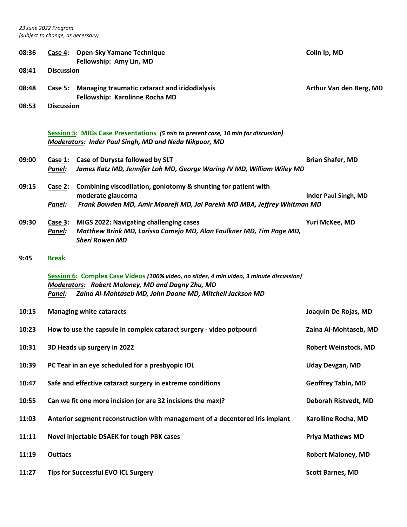| 08:36 |                   | Case 4: Open-Sky Yamane Technique<br>Fellowship: Amy Lin, MD                                                                                                                                             | Colin Ip, MD                |  |
|-------|-------------------|----------------------------------------------------------------------------------------------------------------------------------------------------------------------------------------------------------|-----------------------------|--|
| 08:41 | <b>Discussion</b> |                                                                                                                                                                                                          |                             |  |
| 08:48 |                   | Case 5: Managing traumatic cataract and iridodialysis<br>Fellowship: Karolinne Rocha MD                                                                                                                  | Arthur Van den Berg, MD     |  |
| 08:53 | <b>Discussion</b> |                                                                                                                                                                                                          |                             |  |
|       |                   | Session 5: MIGs Case Presentations (5 min to present case, 10 min for discussion)<br><b>Moderators: Inder Paul Singh, MD and Neda Nikpoor, MD</b>                                                        |                             |  |
| 09:00 | Case 1:<br>Panel: | Case of Durysta followed by SLT<br>James Katz MD, Jennifer Loh MD, George Waring IV MD, William Wiley MD                                                                                                 | <b>Brian Shafer, MD</b>     |  |
| 09:15 | Case 2:           | Combining viscodilation, goniotomy & shunting for patient with                                                                                                                                           |                             |  |
|       | Panel:            | moderate glaucoma<br>Frank Bowden MD, Amir Moarefi MD, Jai Parekh MD MBA, Jeffrey Whitman MD                                                                                                             | <b>Inder Paul Singh, MD</b> |  |
| 09:30 | Case 3:<br>Panel: | MIGS 2022: Navigating challenging cases<br>Matthew Brink MD, Larissa Camejo MD, Alan Faulkner MD, Tim Page MD,<br><b>Sheri Rowen MD</b>                                                                  | Yuri McKee, MD              |  |
| 9:45  | <b>Break</b>      |                                                                                                                                                                                                          |                             |  |
|       | Panel:            | Session 6: Complex Case Videos (100% video, no slides, 4 min video, 3 minute discussion)<br>Moderators: Robert Maloney, MD and Dagny Zhu, MD<br>Zaina Al-Mohtaseb MD, John Doane MD, Mitchell Jackson MD |                             |  |
| 10:15 |                   | <b>Managing white cataracts</b>                                                                                                                                                                          | Joaquin De Rojas, MD        |  |
| 10:23 |                   | How to use the capsule in complex cataract surgery - video potpourri                                                                                                                                     | Zaina Al-Mohtaseb, MD       |  |
| 10:31 |                   | 3D Heads up surgery in 2022                                                                                                                                                                              | Robert Weinstock, MD        |  |
| 10:39 |                   | PC Tear in an eye scheduled for a presbyopic IOL                                                                                                                                                         | <b>Uday Devgan, MD</b>      |  |
| 10:47 |                   | Safe and effective cataract surgery in extreme conditions                                                                                                                                                | <b>Geoffrey Tabin, MD</b>   |  |
| 10:55 |                   | Can we fit one more incision (or are 32 incisions the max)?                                                                                                                                              | Deborah Ristvedt, MD        |  |
| 11:03 |                   | Anterior segment reconstruction with management of a decentered iris implant                                                                                                                             | Karolline Rocha, MD         |  |
| 11:11 |                   | Novel injectable DSAEK for tough PBK cases                                                                                                                                                               | <b>Priya Mathews MD</b>     |  |
| 11:19 | <b>Outtacs</b>    |                                                                                                                                                                                                          | <b>Robert Maloney, MD</b>   |  |
| 11:27 |                   | <b>Tips for Successful EVO ICL Surgery</b>                                                                                                                                                               | <b>Scott Barnes, MD</b>     |  |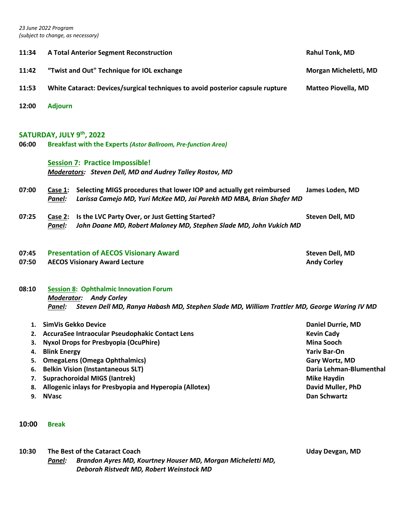| 11:34 | <b>A Total Anterior Segment Reconstruction</b>                                                        | <b>Rahul Tonk, MD</b>      |  |  |
|-------|-------------------------------------------------------------------------------------------------------|----------------------------|--|--|
| 11:42 | "Twist and Out" Technique for IOL exchange                                                            | Morgan Micheletti, MD      |  |  |
| 11:53 | White Cataract: Devices/surgical techniques to avoid posterior capsule rupture                        | <b>Matteo Piovella, MD</b> |  |  |
| 12:00 | <b>Adjourn</b>                                                                                        |                            |  |  |
|       |                                                                                                       |                            |  |  |
|       | SATURDAY, JULY 9th, 2022                                                                              |                            |  |  |
| 06:00 | <b>Breakfast with the Experts (Astor Ballroom, Pre-function Area)</b>                                 |                            |  |  |
|       | <b>Session 7: Practice Impossible!</b>                                                                |                            |  |  |
|       |                                                                                                       |                            |  |  |
|       | Moderators: Steven Dell, MD and Audrey Talley Rostov, MD                                              |                            |  |  |
| 07:00 | Selecting MIGS procedures that lower IOP and actually get reimbursed<br>Case 1:                       | James Loden, MD            |  |  |
|       | Larissa Camejo MD, Yuri McKee MD, Jai Parekh MD MBA, Brian Shafer MD<br>Panel:                        |                            |  |  |
| 07:25 | Is the LVC Party Over, or Just Getting Started?<br>Case 2:                                            | <b>Steven Dell, MD</b>     |  |  |
|       | John Doane MD, Robert Maloney MD, Stephen Slade MD, John Vukich MD<br>Panel:                          |                            |  |  |
|       |                                                                                                       |                            |  |  |
| 07:45 | <b>Presentation of AECOS Visionary Award</b>                                                          | <b>Steven Dell, MD</b>     |  |  |
| 07:50 | <b>AECOS Visionary Award Lecture</b>                                                                  | <b>Andy Corley</b>         |  |  |
|       |                                                                                                       |                            |  |  |
| 08:10 | <b>Session 8: Ophthalmic Innovation Forum</b>                                                         |                            |  |  |
|       | <b>Moderator: Andy Corley</b>                                                                         |                            |  |  |
|       | Steven Dell MD, Ranya Habash MD, Stephen Slade MD, William Trattler MD, George Waring IV MD<br>Panel: |                            |  |  |
| 1.    | SimVis Gekko Device                                                                                   | <b>Daniel Durrie, MD</b>   |  |  |
|       | 2. AccuraSee Intraocular Pseudophakic Contact Lens                                                    | <b>Kevin Cady</b>          |  |  |
| 3.    | <b>Nyxol Drops for Presbyopia (OcuPhire)</b><br><b>Mina Sooch</b>                                     |                            |  |  |
| 4.    | <b>Blink Energy</b><br><b>Yariv Bar-On</b>                                                            |                            |  |  |

- **5. OmegaLens (Omega Ophthalmics) Gary Wortz, MD**
- **6. Belkin Vision (Instantaneous SLT) Daria Lehman-Blumenthal**
- **7. Suprachoroidal MIGS (Iantrek) Mike Haydin**
- **8. Allogenic inlays for Presbyopia and Hyperopia (Allotex) David Muller, PhD**
- **9. NVasc Dan Schwartz**
- **10:00 Break**

**10:30 The Best of the Cataract Coach Uday Devgan, MD**

*Panel:**Brandon Ayres MD, Kourtney Houser MD, Morgan Micheletti MD, Deborah Ristvedt MD, Robert Weinstock MD*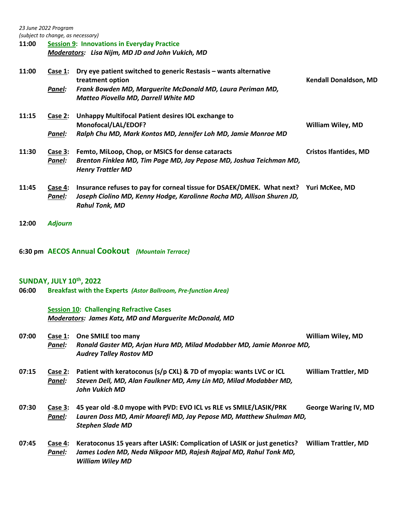*23 June 2022 Program*

*(subject to change, as necessary)*

**11:00 Session 9: Innovations in Everyday Practice**  *Moderators: Lisa Nijm, MD JD and John Vukich, MD*

| 11:00 | Case 1:<br>Panel: | Dry eye patient switched to generic Restasis - wants alternative<br>treatment option<br>Frank Bowden MD, Marguerite McDonald MD, Laura Periman MD,<br>Matteo Piovella MD, Darrell White MD | <b>Kendall Donaldson, MD</b> |
|-------|-------------------|--------------------------------------------------------------------------------------------------------------------------------------------------------------------------------------------|------------------------------|
| 11:15 | Case 2:<br>Panel: | Unhappy Multifocal Patient desires IOL exchange to<br>Monofocal/LAL/EDOF?<br>Ralph Chu MD, Mark Kontos MD, Jennifer Loh MD, Jamie Monroe MD                                                | <b>William Wiley, MD</b>     |
| 11:30 | Case 3:<br>Panel: | Femto, MiLoop, Chop, or MSICS for dense cataracts<br>Brenton Finklea MD, Tim Page MD, Jay Pepose MD, Joshua Teichman MD,<br><b>Henry Trattler MD</b>                                       | <b>Cristos Ifantides, MD</b> |
| 11:45 | Case 4:<br>Panel: | Insurance refuses to pay for corneal tissue for DSAEK/DMEK. What next? Yuri McKee, MD<br>Joseph Ciolino MD, Kenny Hodge, Karolinne Rocha MD, Allison Shuren JD,<br><b>Rahul Tonk, MD</b>   |                              |
| 12:00 | <b>Adjourn</b>    |                                                                                                                                                                                            |                              |

**6:30 pm AECOS Annual Cookout** *(Mountain Terrace)*

## **SUNDAY, JULY 10th, 2022**

**06:00 Breakfast with the Experts** *(Astor Ballroom, Pre-function Area)*

# **Session 10: Challenging Refractive Cases**

*Moderators: James Katz, MD and Marguerite McDonald, MD*

| 07:00 | Case 1:           | One SMILE too many                                                                                                                        | <b>William Wiley, MD</b>    |
|-------|-------------------|-------------------------------------------------------------------------------------------------------------------------------------------|-----------------------------|
|       | Panel:            | Ronald Gaster MD, Arjan Hura MD, Milad Modabber MD, Jamie Monroe MD,<br><b>Audrey Talley Rostov MD</b>                                    |                             |
| 07:15 | Case 2:<br>Panel: | Patient with keratoconus (s/p CXL) & 7D of myopia: wants LVC or ICL<br>Steven Dell, MD, Alan Faulkner MD, Amy Lin MD, Milad Modabber MD,  | <b>William Trattler, MD</b> |
|       |                   | John Vukich MD                                                                                                                            |                             |
| 07:30 | Case 3:<br>Panel: | 45 year old -8.0 myope with PVD: EVO ICL vs RLE vs SMILE/LASIK/PRK<br>Lauren Doss MD, Amir Moarefi MD, Jay Pepose MD, Matthew Shulman MD, | <b>George Waring IV, MD</b> |
|       |                   | <b>Stephen Slade MD</b>                                                                                                                   |                             |
| 07:45 | Case 4:           | Keratoconus 15 years after LASIK: Complication of LASIK or just genetics?                                                                 | <b>William Trattler, MD</b> |
|       | Panel:            | James Loden MD, Neda Nikpoor MD, Rajesh Rajpal MD, Rahul Tonk MD,<br><b>William Wiley MD</b>                                              |                             |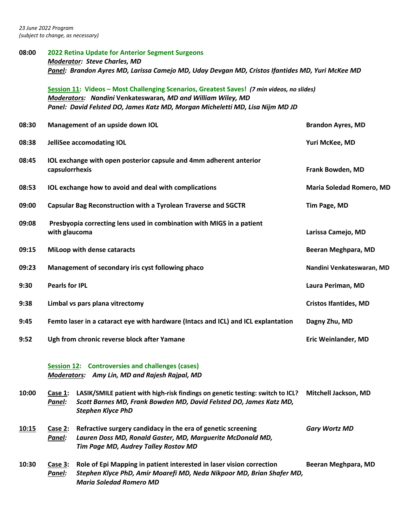**08:00 2022 Retina Update for Anterior Segment Surgeons** *Moderator: Steve Charles, MD Panel: Brandon Ayres MD, Larissa Camejo MD, Uday Devgan MD, Cristos Ifantides MD, Yuri McKee MD* **Session 11: Videos – Most Challenging Scenarios, Greatest Saves!** *(7 min videos, no slides)* 

*Moderators: Nandini* **Venkateswaran***, MD and William Wiley, MD Panel: David Felsted DO, James Katz MD, Morgan Micheletti MD, Lisa Nijm MD JD*

| 08:30 |                                             | Management of an upside down IOL                                                                                                                                                 | <b>Brandon Ayres, MD</b>     |
|-------|---------------------------------------------|----------------------------------------------------------------------------------------------------------------------------------------------------------------------------------|------------------------------|
| 08:38 |                                             | JelliSee accomodating IOL                                                                                                                                                        | Yuri McKee, MD               |
| 08:45 | capsulorrhexis                              | IOL exchange with open posterior capsule and 4mm adherent anterior                                                                                                               | Frank Bowden, MD             |
| 08:53 |                                             | IOL exchange how to avoid and deal with complications                                                                                                                            | Maria Soledad Romero, MD     |
| 09:00 |                                             | <b>Capsular Bag Reconstruction with a Tyrolean Traverse and SGCTR</b>                                                                                                            | Tim Page, MD                 |
| 09:08 | with glaucoma                               | Presbyopia correcting lens used in combination with MIGS in a patient                                                                                                            | Larissa Camejo, MD           |
| 09:15 |                                             | MiLoop with dense cataracts                                                                                                                                                      | Beeran Meghpara, MD          |
| 09:23 |                                             | Management of secondary iris cyst following phaco                                                                                                                                | Nandini Venkateswaran, MD    |
| 9:30  | <b>Pearls for IPL</b>                       |                                                                                                                                                                                  | Laura Periman, MD            |
| 9:38  |                                             | Limbal vs pars plana vitrectomy                                                                                                                                                  | <b>Cristos Ifantides, MD</b> |
| 9:45  |                                             | Femto laser in a cataract eye with hardware (Intacs and ICL) and ICL explantation                                                                                                | Dagny Zhu, MD                |
| 9:52  | Ugh from chronic reverse block after Yamane |                                                                                                                                                                                  | <b>Eric Weinlander, MD</b>   |
|       | <b>Session 12:</b>                          | <b>Controversies and challenges (cases)</b><br><b>Moderators:</b> Amy Lin, MD and Rajesh Rajpal, MD                                                                              |                              |
| 10:00 | Case 1:<br>Panel:                           | LASIK/SMILE patient with high-risk findings on genetic testing: switch to ICL?<br>Scott Barnes MD, Frank Bowden MD, David Felsted DO, James Katz MD,<br><b>Stephen Klyce PhD</b> | Mitchell Jackson, MD         |
| 10:15 | Case 2:<br>Panel:                           | Refractive surgery candidacy in the era of genetic screening<br>Lauren Doss MD, Ronald Gaster, MD, Marguerite McDonald MD,<br>Tim Page MD, Audrey Talley Rostov MD               | <b>Gary Wortz MD</b>         |
| 10:30 | Case $3:$<br>Panel:                         | Role of Epi Mapping in patient interested in laser vision correction<br>Stephen Klyce PhD, Amir Moarefi MD, Neda Nikpoor MD, Brian Shafer MD,<br><b>Maria Soledad Romero MD</b>  | Beeran Meghpara, MD          |